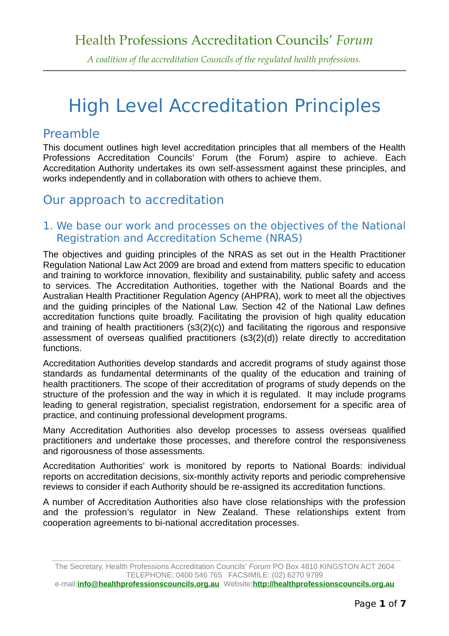*A coalition of the accreditation Councils of the regulated health professions.*

# High Level Accreditation Principles

## Preamble

This document outlines high level accreditation principles that all members of the Health Professions Accreditation Councils' Forum (the Forum) aspire to achieve. Each Accreditation Authority undertakes its own self-assessment against these principles, and works independently and in collaboration with others to achieve them.

## Our approach to accreditation

#### 1. We base our work and processes on the objectives of the National Registration and Accreditation Scheme (NRAS)

The objectives and guiding principles of the NRAS as set out in the Health Practitioner Regulation National Law Act 2009 are broad and extend from matters specific to education and training to workforce innovation, flexibility and sustainability, public safety and access to services. The Accreditation Authorities, together with the National Boards and the Australian Health Practitioner Regulation Agency (AHPRA), work to meet all the objectives and the guiding principles of the National Law. Section 42 of the National Law defines accreditation functions quite broadly. Facilitating the provision of high quality education and training of health practitioners (s3(2)(c)) and facilitating the rigorous and responsive assessment of overseas qualified practitioners (s3(2)(d)) relate directly to accreditation functions.

Accreditation Authorities develop standards and accredit programs of study against those standards as fundamental determinants of the quality of the education and training of health practitioners. The scope of their accreditation of programs of study depends on the structure of the profession and the way in which it is regulated. It may include programs leading to general registration, specialist registration, endorsement for a specific area of practice, and continuing professional development programs.

Many Accreditation Authorities also develop processes to assess overseas qualified practitioners and undertake those processes, and therefore control the responsiveness and rigorousness of those assessments.

Accreditation Authorities' work is monitored by reports to National Boards: individual reports on accreditation decisions, six-monthly activity reports and periodic comprehensive reviews to consider if each Authority should be re-assigned its accreditation functions.

A number of Accreditation Authorities also have close relationships with the profession and the profession's regulator in New Zealand. These relationships extent from cooperation agreements to bi-national accreditation processes.

The Secretary, Health Professions Accreditation Councils' *Forum* PO Box 4810 KINGSTON ACT 2604 TELEPHONE: 0400 546 765 FACSIMILE: (02) 6270 9799

e-mail:**[info@healthprofessionscouncils.org.au](mailto:info@healthprofessionscouncils.org.au)** Website:**[http://healthprofessionscouncils.org.au](http://healthprofessionscouncils.org.au/)**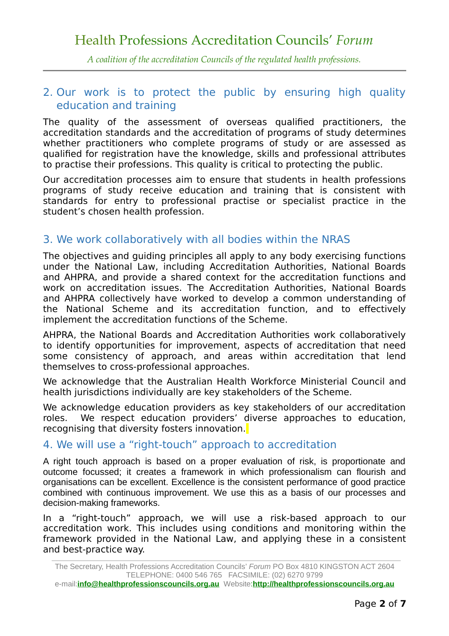*A coalition of the accreditation Councils of the regulated health professions.*

#### 2. Our work is to protect the public by ensuring high quality education and training

The quality of the assessment of overseas qualified practitioners, the accreditation standards and the accreditation of programs of study determines whether practitioners who complete programs of study or are assessed as qualified for registration have the knowledge, skills and professional attributes to practise their professions. This quality is critical to protecting the public.

Our accreditation processes aim to ensure that students in health professions programs of study receive education and training that is consistent with standards for entry to professional practise or specialist practice in the student's chosen health profession.

#### 3. We work collaboratively with all bodies within the NRAS

The objectives and guiding principles all apply to any body exercising functions under the National Law, including Accreditation Authorities, National Boards and AHPRA, and provide a shared context for the accreditation functions and work on accreditation issues. The Accreditation Authorities, National Boards and AHPRA collectively have worked to develop a common understanding of the National Scheme and its accreditation function, and to effectively implement the accreditation functions of the Scheme.

AHPRA, the National Boards and Accreditation Authorities work collaboratively to identify opportunities for improvement, aspects of accreditation that need some consistency of approach, and areas within accreditation that lend themselves to cross-professional approaches.

We acknowledge that the Australian Health Workforce Ministerial Council and health jurisdictions individually are key stakeholders of the Scheme.

We acknowledge education providers as key stakeholders of our accreditation roles. We respect education providers' diverse approaches to education, recognising that diversity fosters innovation.

#### 4. We will use a "right-touch" approach to accreditation

A right touch approach is based on a proper evaluation of risk, is proportionate and outcome focussed; it creates a framework in which professionalism can flourish and organisations can be excellent. Excellence is the consistent performance of good practice combined with continuous improvement. We use this as a basis of our processes and decision-making frameworks.

In a "right-touch" approach, we will use a risk-based approach to our accreditation work. This includes using conditions and monitoring within the framework provided in the National Law, and applying these in a consistent and best-practice way.

The Secretary, Health Professions Accreditation Councils' *Forum* PO Box 4810 KINGSTON ACT 2604 TELEPHONE: 0400 546 765 FACSIMILE: (02) 6270 9799

e-mail:**[info@healthprofessionscouncils.org.au](mailto:info@healthprofessionscouncils.org.au)** Website:**[http://healthprofessionscouncils.org.au](http://healthprofessionscouncils.org.au/)**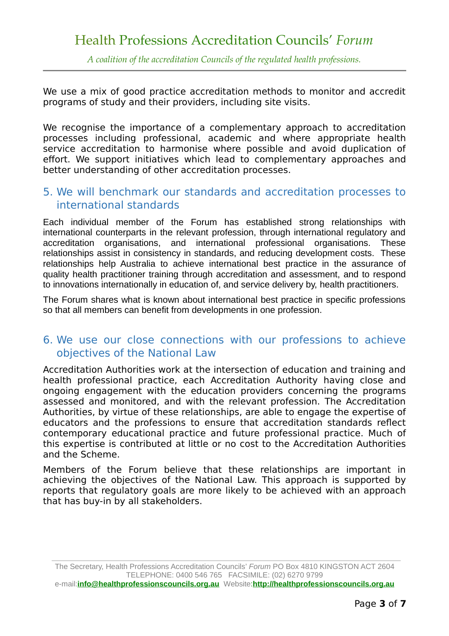*A coalition of the accreditation Councils of the regulated health professions.*

We use a mix of good practice accreditation methods to monitor and accredit programs of study and their providers, including site visits.

We recognise the importance of a complementary approach to accreditation processes including professional, academic and where appropriate health service accreditation to harmonise where possible and avoid duplication of effort. We support initiatives which lead to complementary approaches and better understanding of other accreditation processes.

#### 5. We will benchmark our standards and accreditation processes to international standards

Each individual member of the Forum has established strong relationships with international counterparts in the relevant profession, through international regulatory and accreditation organisations, and international professional organisations. These relationships assist in consistency in standards, and reducing development costs. These relationships help Australia to achieve international best practice in the assurance of quality health practitioner training through accreditation and assessment, and to respond to innovations internationally in education of, and service delivery by, health practitioners.

The Forum shares what is known about international best practice in specific professions so that all members can benefit from developments in one profession.

#### 6. We use our close connections with our professions to achieve objectives of the National Law

Accreditation Authorities work at the intersection of education and training and health professional practice, each Accreditation Authority having close and ongoing engagement with the education providers concerning the programs assessed and monitored, and with the relevant profession. The Accreditation Authorities, by virtue of these relationships, are able to engage the expertise of educators and the professions to ensure that accreditation standards reflect contemporary educational practice and future professional practice. Much of this expertise is contributed at little or no cost to the Accreditation Authorities and the Scheme.

Members of the Forum believe that these relationships are important in achieving the objectives of the National Law. This approach is supported by reports that regulatory goals are more likely to be achieved with an approach that has buy-in by all stakeholders.

The Secretary, Health Professions Accreditation Councils' *Forum* PO Box 4810 KINGSTON ACT 2604 TELEPHONE: 0400 546 765 FACSIMILE: (02) 6270 9799

e-mail:**[info@healthprofessionscouncils.org.au](mailto:info@healthprofessionscouncils.org.au)** Website:**[http://healthprofessionscouncils.org.au](http://healthprofessionscouncils.org.au/)**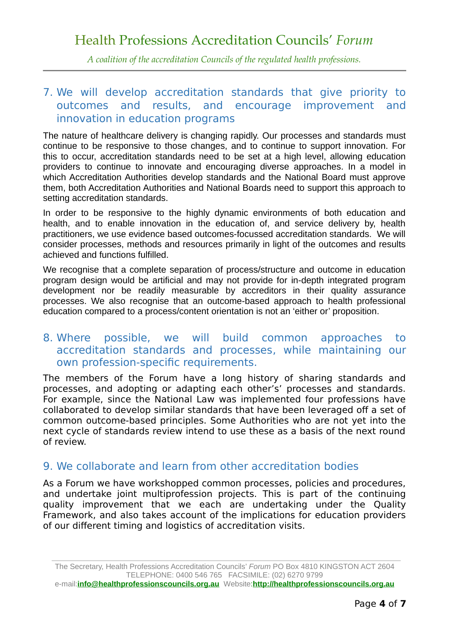*A coalition of the accreditation Councils of the regulated health professions.*

#### 7. We will develop accreditation standards that give priority to outcomes and results, and encourage improvement and innovation in education programs

The nature of healthcare delivery is changing rapidly. Our processes and standards must continue to be responsive to those changes, and to continue to support innovation. For this to occur, accreditation standards need to be set at a high level, allowing education providers to continue to innovate and encouraging diverse approaches. In a model in which Accreditation Authorities develop standards and the National Board must approve them, both Accreditation Authorities and National Boards need to support this approach to setting accreditation standards.

In order to be responsive to the highly dynamic environments of both education and health, and to enable innovation in the education of, and service delivery by, health practitioners, we use evidence based outcomes-focussed accreditation standards. We will consider processes, methods and resources primarily in light of the outcomes and results achieved and functions fulfilled.

We recognise that a complete separation of process/structure and outcome in education program design would be artificial and may not provide for in-depth integrated program development nor be readily measurable by accreditors in their quality assurance processes. We also recognise that an outcome-based approach to health professional education compared to a process/content orientation is not an 'either or' proposition.

#### 8. Where possible, we will build common approaches to accreditation standards and processes, while maintaining our own profession-specific requirements.

The members of the Forum have a long history of sharing standards and processes, and adopting or adapting each other's' processes and standards. For example, since the National Law was implemented four professions have collaborated to develop similar standards that have been leveraged off a set of common outcome-based principles. Some Authorities who are not yet into the next cycle of standards review intend to use these as a basis of the next round of review.

#### 9. We collaborate and learn from other accreditation bodies

As a Forum we have workshopped common processes, policies and procedures, and undertake joint multiprofession projects. This is part of the continuing quality improvement that we each are undertaking under the Quality Framework, and also takes account of the implications for education providers of our different timing and logistics of accreditation visits.

The Secretary, Health Professions Accreditation Councils' *Forum* PO Box 4810 KINGSTON ACT 2604 TELEPHONE: 0400 546 765 FACSIMILE: (02) 6270 9799

e-mail:**[info@healthprofessionscouncils.org.au](mailto:info@healthprofessionscouncils.org.au)** Website:**[http://healthprofessionscouncils.org.au](http://healthprofessionscouncils.org.au/)**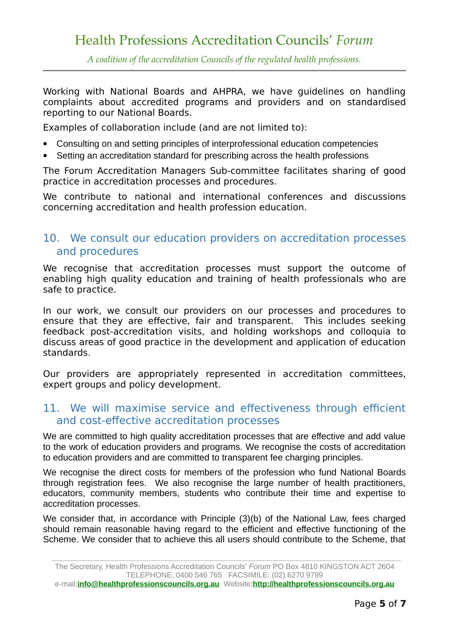*A coalition of the accreditation Councils of the regulated health professions.*

Working with National Boards and AHPRA, we have guidelines on handling complaints about accredited programs and providers and on standardised reporting to our National Boards.

Examples of collaboration include (and are not limited to):

- Consulting on and setting principles of interprofessional education competencies
- Setting an accreditation standard for prescribing across the health professions

The Forum Accreditation Managers Sub-committee facilitates sharing of good practice in accreditation processes and procedures.

We contribute to national and international conferences and discussions concerning accreditation and health profession education.

#### 10. We consult our education providers on accreditation processes and procedures

We recognise that accreditation processes must support the outcome of enabling high quality education and training of health professionals who are safe to practice.

In our work, we consult our providers on our processes and procedures to ensure that they are effective, fair and transparent. This includes seeking feedback post-accreditation visits, and holding workshops and colloquia to discuss areas of good practice in the development and application of education standards.

Our providers are appropriately represented in accreditation committees, expert groups and policy development.

#### 11. We will maximise service and effectiveness through efficient and cost-effective accreditation processes

We are committed to high quality accreditation processes that are effective and add value to the work of education providers and programs. We recognise the costs of accreditation to education providers and are committed to transparent fee charging principles.

We recognise the direct costs for members of the profession who fund National Boards through registration fees. We also recognise the large number of health practitioners, educators, community members, students who contribute their time and expertise to accreditation processes.

We consider that, in accordance with Principle (3)(b) of the National Law, fees charged should remain reasonable having regard to the efficient and effective functioning of the Scheme. We consider that to achieve this all users should contribute to the Scheme, that

The Secretary, Health Professions Accreditation Councils' *Forum* PO Box 4810 KINGSTON ACT 2604 TELEPHONE: 0400 546 765 FACSIMILE: (02) 6270 9799

e-mail:**[info@healthprofessionscouncils.org.au](mailto:info@healthprofessionscouncils.org.au)** Website:**[http://healthprofessionscouncils.org.au](http://healthprofessionscouncils.org.au/)**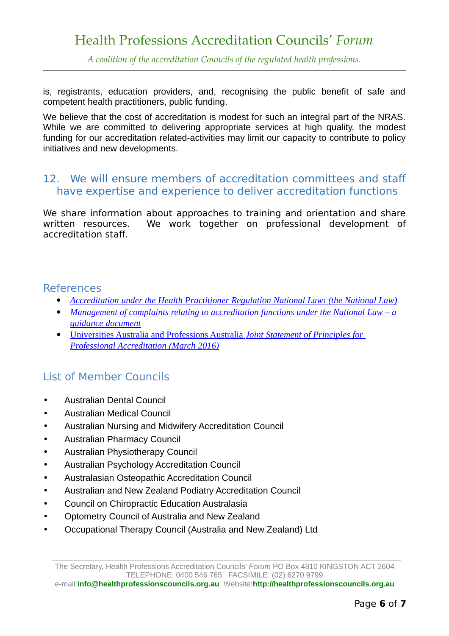*A coalition of the accreditation Councils of the regulated health professions.*

is, registrants, education providers, and, recognising the public benefit of safe and competent health practitioners, public funding.

We believe that the cost of accreditation is modest for such an integral part of the NRAS. While we are committed to delivering appropriate services at high quality, the modest funding for our accreditation related-activities may limit our capacity to contribute to policy initiatives and new developments.

#### 12. We will ensure members of accreditation committees and staff have expertise and experience to deliver accreditation functions

We share information about approaches to training and orientation and share written resources. We work together on professional development of accreditation staff.

#### References

- • [Accreditation under the Health Practitioner Regulation National Law](http://www.healthprofessionscouncils.org.au/files/f817921f1b48b8fca152a2c530af90a12758b568_original.pdf)<sub>1</sub> (the National Law)
- *[Management of complaints relating to accreditation functions under the National Law a](http://www.healthprofessionscouncils.org.au/files/8acba8313e23afa68c20d625bc2e879ad01884b7_original.pdf)  [guidance document](http://www.healthprofessionscouncils.org.au/files/8acba8313e23afa68c20d625bc2e879ad01884b7_original.pdf)*
- [Universities Australia and Professions Australia](https://www.universitiesaustralia.edu.au/uni-participation-quality/Quality/Principles-for-Professional-Accreditation/Principles-for-Professional-Accreditation#.V1-DFlV96Uk) *Joint Statement of Principles for [Professional Accreditation \(March 2016\)](https://www.universitiesaustralia.edu.au/uni-participation-quality/Quality/Principles-for-Professional-Accreditation/Principles-for-Professional-Accreditation#.V1-DFlV96Uk)*

#### List of Member Councils

- Australian Dental Council
- Australian Medical Council
- Australian Nursing and Midwifery Accreditation Council
- Australian Pharmacy Council
- Australian Physiotherapy Council
- Australian Psychology Accreditation Council
- Australasian Osteopathic Accreditation Council
- Australian and New Zealand Podiatry Accreditation Council
- Council on Chiropractic Education Australasia
- Optometry Council of Australia and New Zealand
- Occupational Therapy Council (Australia and New Zealand) Ltd

The Secretary, Health Professions Accreditation Councils' *Forum* PO Box 4810 KINGSTON ACT 2604 TELEPHONE: 0400 546 765 FACSIMILE: (02) 6270 9799

e-mail:**[info@healthprofessionscouncils.org.au](mailto:info@healthprofessionscouncils.org.au)** Website:**[http://healthprofessionscouncils.org.au](http://healthprofessionscouncils.org.au/)**